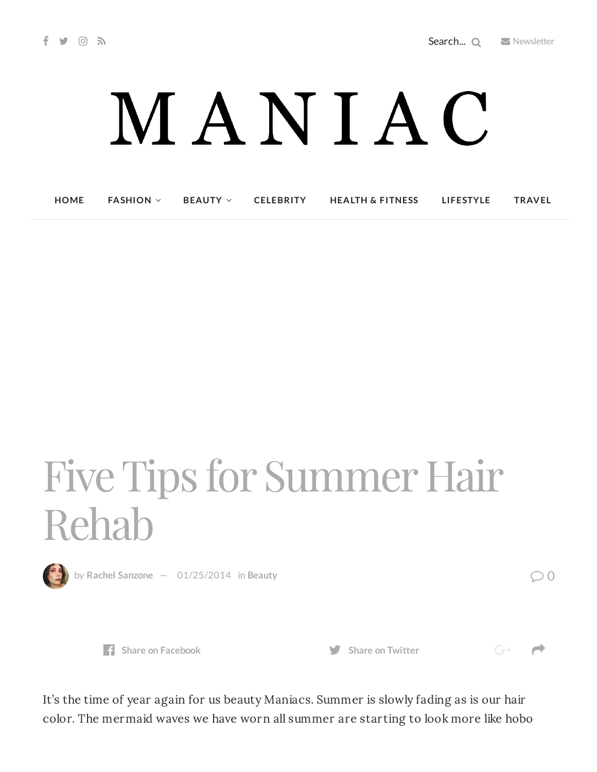# MANIAC

**[HOME](http://maniacmagazine.com/) [FASHION](http://maniacmagazine.com/fashion/) [BEAUTY](http://maniacmagazine.com/beauty/) [CELEBRITY](http://maniacmagazine.com/celebrity/) HEALTH & [FITNESS](http://maniacmagazine.com/beauty/health-and-fitness/) [LIFESTYLE](http://maniacmagazine.com/lifestyle/) [TRAVEL](http://maniacmagazine.com/life/travel/)**

## Five Tips for Summer Hair Rehab

by **Rachel [Sanzone](http://maniacmagazine.com/author/rachel/)** — [01/25/2014](http://maniacmagazine.com/beauty/five-tips-for-summer-hair-rehab/) in **[Beauty](http://maniacmagazine.com/beauty/)** 0

| n an<br>n sa | ٠ |
|--------------|---|
|              |   |

 $G^+$   $\rightarrow$ 

**Share** on [Facebook](http://www.facebook.com/sharer.php?u=http%3A%2F%2Fmaniacmagazine.com%2Fbeauty%2Ffive-tips-for-summer-hair-rehab%2F) **Share** on [Twitter](https://twitter.com/intent/tweet?text=Five+Tips+for+Summer+Hair+Rehab&url=http%3A%2F%2Fmaniacmagazine.com%2Fbeauty%2Ffive-tips-for-summer-hair-rehab%2F)

It's the time of year again for us beauty Maniacs. Summer is slowly fading as is our hair color. The mermaid waves we have worn all summer are starting to look more like hobo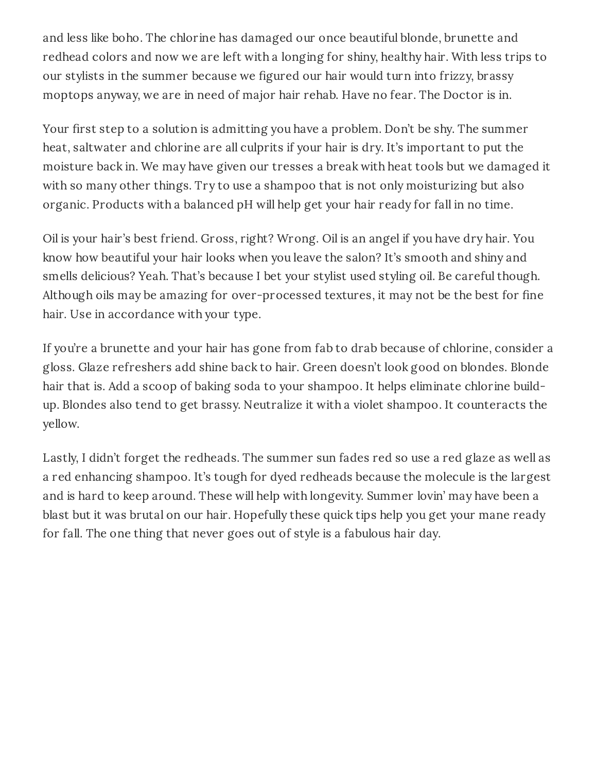and less like boho. The chlorine has damaged our once beautiful blonde, brunette and redhead colors and now we are left with a longing for shiny, healthy hair. With less trips to our stylists in the summer because we figured our hair would turn into frizzy, brassy moptops anyway, we are in need of major hair rehab. Have no fear. The Doctor is in.

Your first step to a solution is admitting you have a problem. Don't be shy. The summer heat, saltwater and chlorine are all culprits if your hair is dry. It's important to put the moisture back in. We may have given our tresses a break with heat tools but we damaged it with so many other things. Try to use a shampoo that is not only moisturizing but also organic. Products with a balanced pH will help get your hair ready for fall in no time.

Oil is your hair's best friend. Gross, right? Wrong. Oil is an angel if you have dry hair. You know how beautiful your hair looks when you leave the salon? It's smooth and shiny and smells delicious? Yeah. That's because I bet your stylist used styling oil. Be careful though. Although oils may be amazing for over-processed textures, it may not be the best for fine hair. Use in accordance with your type.

If you're a brunette and your hair has gone from fab to drab because of chlorine, consider a gloss. Glaze refreshers add shine back to hair. Green doesn't look good on blondes. Blonde hair that is. Add a scoop of baking soda to your shampoo. It helps eliminate chlorine buildup. Blondes also tend to get brassy. Neutralize it with a violet shampoo. It counteracts the yellow.

Lastly, I didn't forget the redheads. The summer sun fades red so use a red glaze as well as a red enhancing shampoo. It's tough for dyed redheads because the molecule is the largest and is hard to keep around. These will help with longevity. Summer lovin' may have been a blast but it was brutal on our hair. Hopefully these quick tips help you get your mane ready for fall. The one thing that never goes out of style is a fabulous hair day.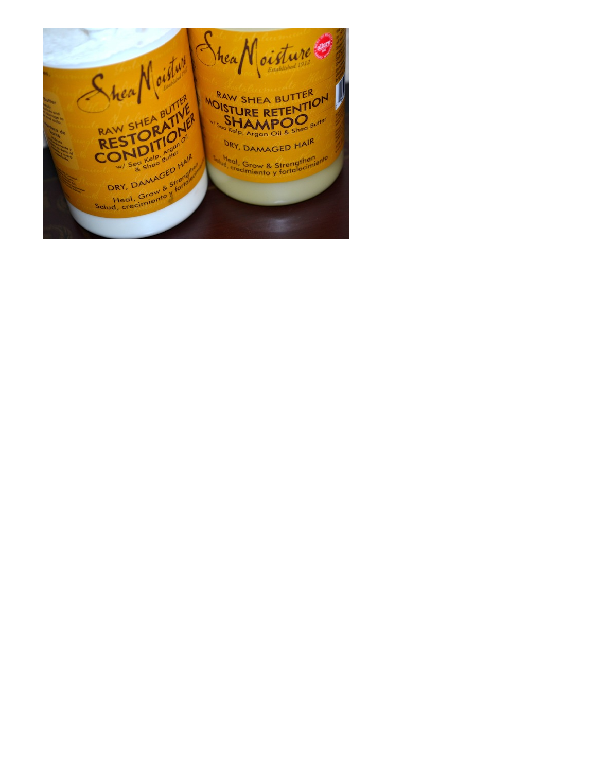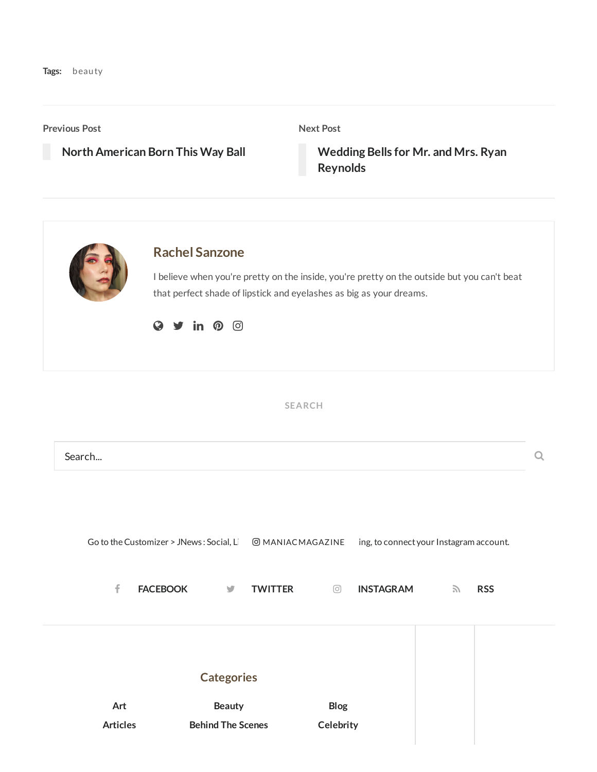**Previous Post**

**Next Post**

#### **North [American](http://maniacmagazine.com/culture/music/north-american-born-this-way-ball/) Born This Way Ball**

**Wedding Bells for Mr. and Mrs. Ryan [Reynolds](http://maniacmagazine.com/culture/celebrity-culture/wedding-bells-for-mr-and-mrs-ryan-reynolds/)**

### **Rachel [Sanzone](http://maniacmagazine.com/author/rachel/)**

I believe when you're pretty on the inside, you're pretty on the outside but you can't beat that perfect shade of lipstick and eyelashes as big as your dreams.



**SEARCH**

|              | Go to the Customizer > JNews: Social, Li | @ MANIACMAGAZINE |      | ing, to connect your Instagram account. |               |            |
|--------------|------------------------------------------|------------------|------|-----------------------------------------|---------------|------------|
| $\mathbf{f}$ | <b>FACEBOOK</b><br>$\blacktriangleright$ | <b>TWITTER</b>   | ⊙    | <b>INSTAGRAM</b>                        | $\mathcal{L}$ | <b>RSS</b> |
|              | <b>Categories</b>                        |                  |      |                                         |               |            |
| Art          | <b>Beauty</b>                            |                  | Blog |                                         |               |            |